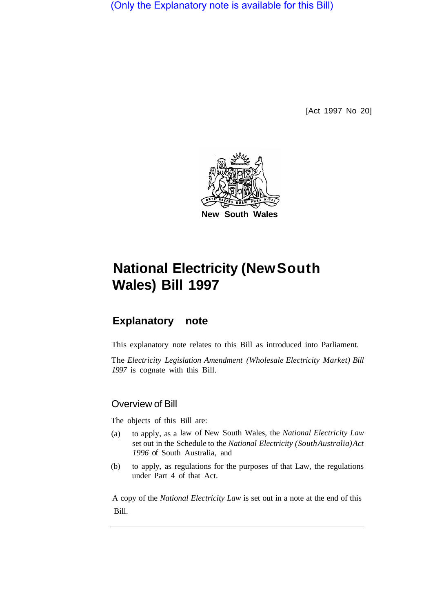(Only the Explanatory note is available for this Bill)

[Act 1997 No 20]



# **National Electricity (New South Wales) Bill 1997**

## **Explanatory note**

This explanatory note relates to this Bill as introduced into Parliament.

The *Electricity Legislation Amendment (Wholesale Electricity Market) Bill 1997* is cognate with this Bill.

## Overview of Bill

The objects of this Bill are:

- (a) to apply, as a law of New South Wales, the *National Electricity Law*  set out in the Schedule to the *National Electricity (South Australia) Act 1996* of South Australia, and
- (b) to apply, as regulations for the purposes of that Law, the regulations under Part 4 of that Act.

A copy of the *National Electricity Law* is set out in a note at the end of this Bill.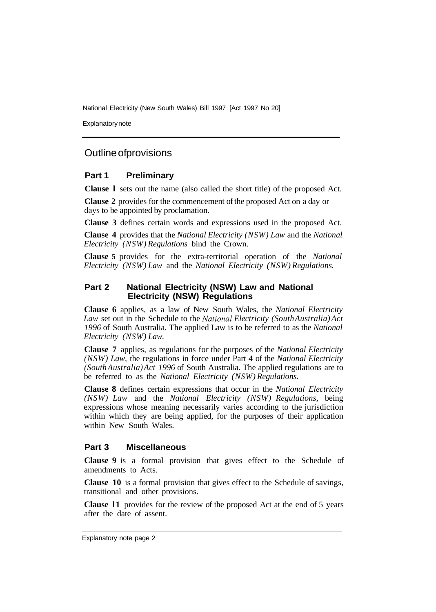National Electricity (New South Wales) Bill 1997 [Act 1997 No 20]

Explanatory note

## Outline of provisions

#### **Part 1 Preliminary**

**Clause l** sets out the name (also called the short title) of the proposed Act.

**Clause 2** provides for the commencement of the proposed Act on a day or days to be appointed by proclamation.

**Clause 3** defines certain words and expressions used in the proposed Act.

**Clause 4** provides that the *National Electricity (NSW) Law* and the *National Electricity (NSW) Regulations* bind the Crown.

**Clause 5** provides for the extra-territorial operation of the *National Electricity (NSW) Law* and the *National Electricity (NSW) Regulations.* 

### **Part 2 National Electricity (NSW) Law and National Electricity (NSW) Regulations**

**Clause 6** applies, as a law of New South Wales, the *National Electricity Law* set out in the Schedule to the *National Electricity (South Australia) Act 1996* of South Australia. The applied Law is to be referred to as the *National Electricity (NSW) Law.* 

**Clause 7** applies, as regulations for the purposes of the *National Electricity (NSW) Law,* the regulations in force under Part 4 of the *National Electricity (South Australia) Act 1996* of South Australia. The applied regulations are to be referred to as the *National Electricity (NSW) Regulations.* 

**Clause 8** defines certain expressions that occur in the *National Electricity (NSW) Law* and the *National Electricity (NSW) Regulations,* being expressions whose meaning necessarily varies according to the jurisdiction within which they are being applied, for the purposes of their application within New South Wales.

### **Part 3 Miscellaneous**

**Clause 9** is a formal provision that gives effect to the Schedule of amendments to Acts.

**Clause 10** is a formal provision that gives effect to the Schedule of savings, transitional and other provisions.

**Clause l1** provides for the review of the proposed Act at the end of 5 years after the date of assent.

Explanatory note page 2